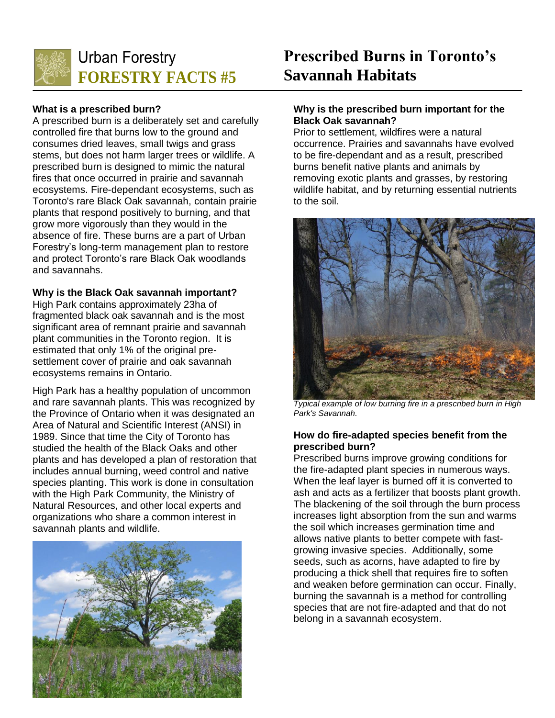

## **What is a prescribed burn?**

A prescribed burn is a deliberately set and carefully controlled fire that burns low to the ground and consumes dried leaves, small twigs and grass stems, but does not harm larger trees or wildlife. A prescribed burn is designed to mimic the natural fires that once occurred in prairie and savannah ecosystems. Fire-dependant ecosystems, such as Toronto's rare Black Oak savannah, contain prairie plants that respond positively to burning, and that grow more vigorously than they would in the absence of fire. These burns are a part of Urban Forestry's long-term management plan to restore and protect Toronto's rare Black Oak woodlands and savannahs.

#### **Why is the Black Oak savannah important?**

High Park contains approximately 23ha of fragmented black oak savannah and is the most significant area of remnant prairie and savannah plant communities in the Toronto region. It is estimated that only 1% of the original presettlement cover of prairie and oak savannah ecosystems remains in Ontario.

High Park has a healthy population of uncommon and rare savannah plants. This was recognized by the Province of Ontario when it was designated an Area of Natural and Scientific Interest (ANSI) in 1989. Since that time the City of Toronto has studied the health of the Black Oaks and other plants and has developed a plan of restoration that includes annual burning, weed control and native species planting. This work is done in consultation with the High Park Community, the Ministry of Natural Resources, and other local experts and organizations who share a common interest in savannah plants and wildlife.



# **Prescribed Burns in Toronto's Savannah Habitats**

# **Why is the prescribed burn important for the Black Oak savannah?**

Prior to settlement, wildfires were a natural occurrence. Prairies and savannahs have evolved to be fire-dependant and as a result, prescribed burns benefit native plants and animals by removing exotic plants and grasses, by restoring wildlife habitat, and by returning essential nutrients to the soil.



*Typical example of low burning fire in a prescribed burn in High Park's Savannah.*

## **How do fire-adapted species benefit from the prescribed burn?**

Prescribed burns improve growing conditions for the fire-adapted plant species in numerous ways. When the leaf layer is burned off it is converted to ash and acts as a fertilizer that boosts plant growth. The blackening of the soil through the burn process increases light absorption from the sun and warms the soil which increases germination time and allows native plants to better compete with fastgrowing invasive species. Additionally, some seeds, such as acorns, have adapted to fire by producing a thick shell that requires fire to soften and weaken before germination can occur. Finally, burning the savannah is a method for controlling species that are not fire-adapted and that do not belong in a savannah ecosystem.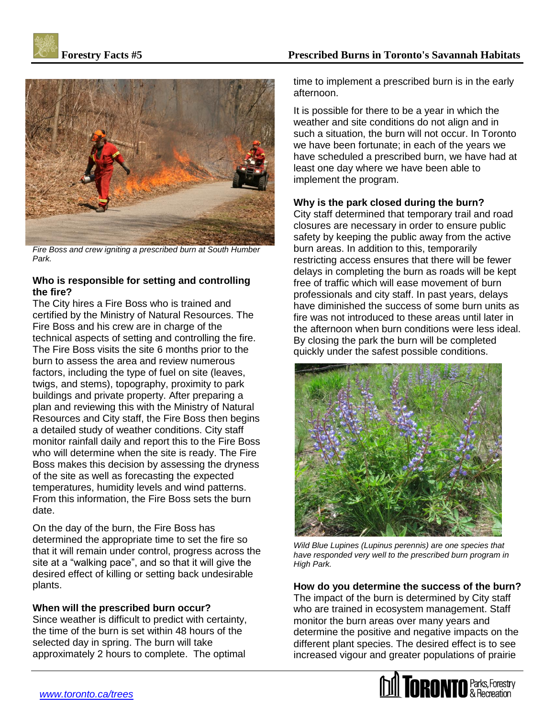



*Fire Boss and crew igniting a prescribed burn at South Humber Park.*

# **Who is responsible for setting and controlling the fire?**

The City hires a Fire Boss who is trained and certified by the Ministry of Natural Resources. The Fire Boss and his crew are in charge of the technical aspects of setting and controlling the fire. The Fire Boss visits the site 6 months prior to the burn to assess the area and review numerous factors, including the type of fuel on site (leaves, twigs, and stems), topography, proximity to park buildings and private property. After preparing a plan and reviewing this with the Ministry of Natural Resources and City staff, the Fire Boss then begins a detailed study of weather conditions. City staff monitor rainfall daily and report this to the Fire Boss who will determine when the site is ready. The Fire Boss makes this decision by assessing the dryness of the site as well as forecasting the expected temperatures, humidity levels and wind patterns. From this information, the Fire Boss sets the burn date.

On the day of the burn, the Fire Boss has determined the appropriate time to set the fire so that it will remain under control, progress across the site at a "walking pace", and so that it will give the desired effect of killing or setting back undesirable plants.

# **When will the prescribed burn occur?**

Since weather is difficult to predict with certainty, the time of the burn is set within 48 hours of the selected day in spring. The burn will take approximately 2 hours to complete. The optimal time to implement a prescribed burn is in the early afternoon.

It is possible for there to be a year in which the weather and site conditions do not align and in such a situation, the burn will not occur. In Toronto we have been fortunate; in each of the years we have scheduled a prescribed burn, we have had at least one day where we have been able to implement the program.

# **Why is the park closed during the burn?**

City staff determined that temporary trail and road closures are necessary in order to ensure public safety by keeping the public away from the active burn areas. In addition to this, temporarily restricting access ensures that there will be fewer delays in completing the burn as roads will be kept free of traffic which will ease movement of burn professionals and city staff. In past years, delays have diminished the success of some burn units as fire was not introduced to these areas until later in the afternoon when burn conditions were less ideal. By closing the park the burn will be completed quickly under the safest possible conditions.



*Wild Blue Lupines (Lupinus perennis) are one species that have responded very well to the prescribed burn program in High Park.*

**How do you determine the success of the burn?** The impact of the burn is determined by City staff who are trained in ecosystem management. Staff monitor the burn areas over many years and determine the positive and negative impacts on the different plant species. The desired effect is to see increased vigour and greater populations of prairie